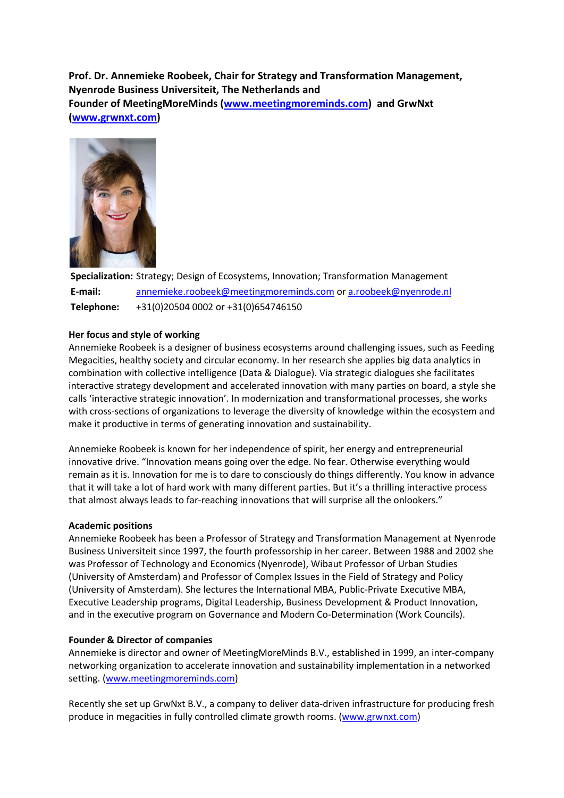# **Prof. Dr. Annemieke Roobeek, Chair for Strategy and Transformation Management, Nyenrode Business Universiteit, The Netherlands and Founder of MeetingMoreMinds (www.meetingmoreminds.com) and GrwNxt (www.grwnxt.com)**



**Specialization:** Strategy; Design of Ecosystems, Innovation; Transformation Management **E-mail:** annemieke.roobeek@meetingmoreminds.com or a.roobeek@nyenrode.nl **Telephone:** +31(0)20504 0002 or +31(0)654746150

## **Her focus and style of working**

Annemieke Roobeek is a designer of business ecosystems around challenging issues, such as Feeding Megacities, healthy society and circular economy. In her research she applies big data analytics in combination with collective intelligence (Data & Dialogue). Via strategic dialogues she facilitates interactive strategy development and accelerated innovation with many parties on board, a style she calls 'interactive strategic innovation'. In modernization and transformational processes, she works with cross-sections of organizations to leverage the diversity of knowledge within the ecosystem and make it productive in terms of generating innovation and sustainability.

Annemieke Roobeek is known for her independence of spirit, her energy and entrepreneurial innovative drive. "Innovation means going over the edge. No fear. Otherwise everything would remain as it is. Innovation for me is to dare to consciously do things differently. You know in advance that it will take a lot of hard work with many different parties. But it's a thrilling interactive process that almost always leads to far-reaching innovations that will surprise all the onlookers."

## **Academic positions**

Annemieke Roobeek has been a Professor of Strategy and Transformation Management at Nyenrode Business Universiteit since 1997, the fourth professorship in her career. Between 1988 and 2002 she was Professor of Technology and Economics (Nyenrode), Wibaut Professor of Urban Studies (University of Amsterdam) and Professor of Complex Issues in the Field of Strategy and Policy (University of Amsterdam). She lectures the International MBA, Public-Private Executive MBA, Executive Leadership programs, Digital Leadership, Business Development & Product Innovation, and in the executive program on Governance and Modern Co-Determination (Work Councils).

## **Founder & Director of companies**

Annemieke is director and owner of MeetingMoreMinds B.V., established in 1999, an inter-company networking organization to accelerate innovation and sustainability implementation in a networked setting. (www.meetingmoreminds.com)

Recently she set up GrwNxt B.V., a company to deliver data-driven infrastructure for producing fresh produce in megacities in fully controlled climate growth rooms. (www.grwnxt.com)